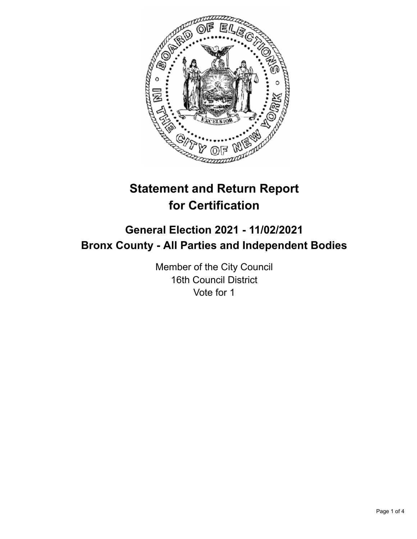

# **Statement and Return Report for Certification**

## **General Election 2021 - 11/02/2021 Bronx County - All Parties and Independent Bodies**

Member of the City Council 16th Council District Vote for 1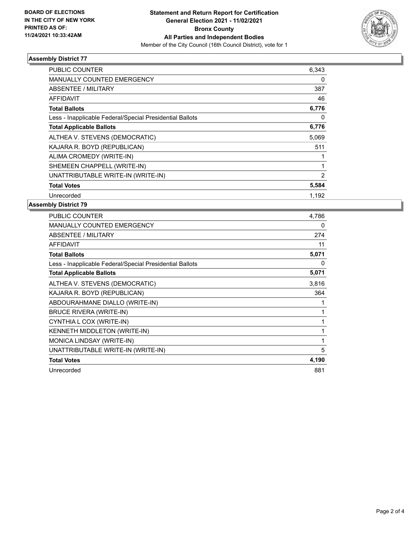

### **Assembly District 77**

| <b>PUBLIC COUNTER</b>                                    | 6,343 |
|----------------------------------------------------------|-------|
| <b>MANUALLY COUNTED EMERGENCY</b>                        | 0     |
| ABSENTEE / MILITARY                                      | 387   |
| <b>AFFIDAVIT</b>                                         | 46    |
| <b>Total Ballots</b>                                     | 6,776 |
| Less - Inapplicable Federal/Special Presidential Ballots | 0     |
| <b>Total Applicable Ballots</b>                          | 6,776 |
| ALTHEA V. STEVENS (DEMOCRATIC)                           | 5,069 |
| KAJARA R. BOYD (REPUBLICAN)                              | 511   |
| ALIMA CROMEDY (WRITE-IN)                                 |       |
| SHEMEEN CHAPPELL (WRITE-IN)                              |       |
| UNATTRIBUTABLE WRITE-IN (WRITE-IN)                       | 2     |
| <b>Total Votes</b>                                       | 5,584 |
| Unrecorded                                               | 1.192 |

### **Assembly District 79**

| PUBLIC COUNTER                                           | 4,786 |
|----------------------------------------------------------|-------|
| <b>MANUALLY COUNTED EMERGENCY</b>                        | 0     |
| ABSENTEE / MILITARY                                      | 274   |
| <b>AFFIDAVIT</b>                                         | 11    |
| <b>Total Ballots</b>                                     | 5,071 |
| Less - Inapplicable Federal/Special Presidential Ballots | 0     |
| <b>Total Applicable Ballots</b>                          | 5,071 |
| ALTHEA V. STEVENS (DEMOCRATIC)                           | 3,816 |
| KAJARA R. BOYD (REPUBLICAN)                              | 364   |
| ABDOURAHMANE DIALLO (WRITE-IN)                           |       |
| <b>BRUCE RIVERA (WRITE-IN)</b>                           | 1     |
| CYNTHIA L COX (WRITE-IN)                                 |       |
| <b>KENNETH MIDDLETON (WRITE-IN)</b>                      | 1     |
| MONICA LINDSAY (WRITE-IN)                                | 1     |
| UNATTRIBUTABLE WRITE-IN (WRITE-IN)                       | 5     |
| <b>Total Votes</b>                                       | 4,190 |
| Unrecorded                                               | 881   |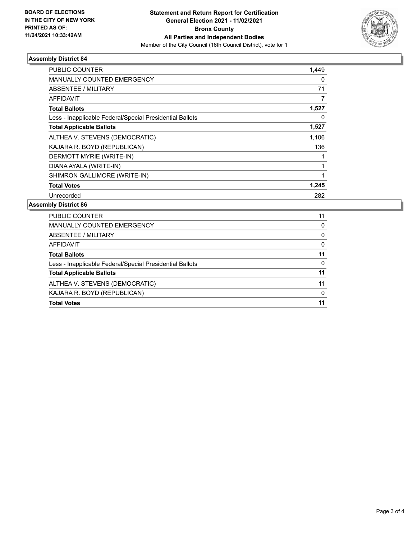

### **Assembly District 84**

| <b>PUBLIC COUNTER</b>                                    | 1,449 |
|----------------------------------------------------------|-------|
| <b>MANUALLY COUNTED EMERGENCY</b>                        | 0     |
| ABSENTEE / MILITARY                                      | 71    |
| AFFIDAVIT                                                |       |
| <b>Total Ballots</b>                                     | 1,527 |
| Less - Inapplicable Federal/Special Presidential Ballots | 0     |
| <b>Total Applicable Ballots</b>                          | 1,527 |
| ALTHEA V. STEVENS (DEMOCRATIC)                           | 1,106 |
| KAJARA R. BOYD (REPUBLICAN)                              | 136   |
| DERMOTT MYRIE (WRITE-IN)                                 |       |
| DIANA AYALA (WRITE-IN)                                   |       |
| SHIMRON GALLIMORE (WRITE-IN)                             |       |
| <b>Total Votes</b>                                       | 1,245 |
| Unrecorded                                               | 282   |

### **Assembly District 86**

| PUBLIC COUNTER                                           | 11       |
|----------------------------------------------------------|----------|
| <b>MANUALLY COUNTED EMERGENCY</b>                        | 0        |
| ABSENTEE / MILITARY                                      | 0        |
| AFFIDAVIT                                                | $\Omega$ |
| <b>Total Ballots</b>                                     | 11       |
| Less - Inapplicable Federal/Special Presidential Ballots | $\Omega$ |
| <b>Total Applicable Ballots</b>                          | 11       |
| ALTHEA V. STEVENS (DEMOCRATIC)                           | 11       |
| KAJARA R. BOYD (REPUBLICAN)                              | $\Omega$ |
| <b>Total Votes</b>                                       | 11       |